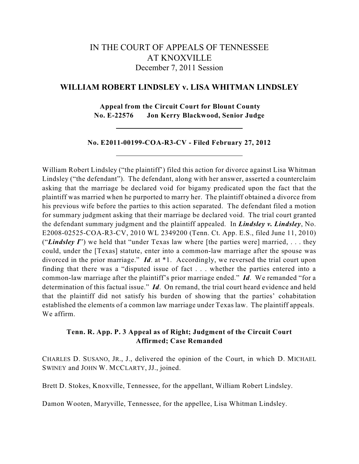# IN THE COURT OF APPEALS OF TENNESSEE AT KNOXVILLE December 7, 2011 Session

# **WILLIAM ROBERT LINDSLEY v. LISA WHITMAN LINDSLEY**

**Appeal from the Circuit Court for Blount County No. E-22576 Jon Kerry Blackwood, Senior Judge**

## **No. E2011-00199-COA-R3-CV - Filed February 27, 2012**

William Robert Lindsley ("the plaintiff') filed this action for divorce against Lisa Whitman Lindsley ("the defendant"). The defendant, along with her answer, asserted a counterclaim asking that the marriage be declared void for bigamy predicated upon the fact that the plaintiff was married when he purported to marry her. The plaintiff obtained a divorce from his previous wife before the parties to this action separated. The defendant filed a motion for summary judgment asking that their marriage be declared void. The trial court granted the defendant summary judgment and the plaintiff appealed. In *Lindsley v. Lindsley*, No. E2008-02525-COA-R3-CV, 2010 WL 2349200 (Tenn. Ct. App. E.S., filed June 11, 2010) ("*Lindsley I*") we held that "under Texas law where [the parties were] married, . . . they could, under the [Texas] statute, enter into a common-law marriage after the spouse was divorced in the prior marriage." *Id*. at \*1. Accordingly, we reversed the trial court upon finding that there was a "disputed issue of fact . . . whether the parties entered into a common-law marriage after the plaintiff's prior marriage ended." *Id*. We remanded "for a determination of this factual issue." *Id*. On remand, the trial court heard evidence and held that the plaintiff did not satisfy his burden of showing that the parties' cohabitation established the elements of a common law marriage under Texas law. The plaintiff appeals. We affirm.

# **Tenn. R. App. P. 3 Appeal as of Right; Judgment of the Circuit Court Affirmed; Case Remanded**

CHARLES D. SUSANO, JR., J., delivered the opinion of the Court, in which D. MICHAEL SWINEY and JOHN W. MCCLARTY, JJ., joined.

Brett D. Stokes, Knoxville, Tennessee, for the appellant, William Robert Lindsley.

Damon Wooten, Maryville, Tennessee, for the appellee, Lisa Whitman Lindsley.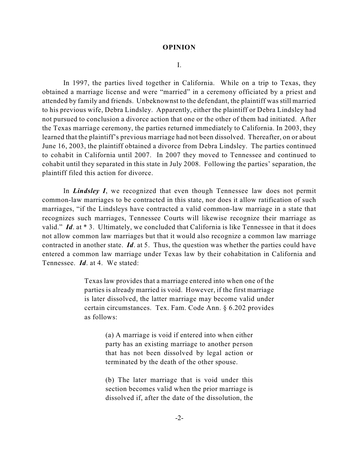#### **OPINION**

I.

In 1997, the parties lived together in California. While on a trip to Texas, they obtained a marriage license and were "married" in a ceremony officiated by a priest and attended by family and friends. Unbeknownst to the defendant, the plaintiff was still married to his previous wife, Debra Lindsley. Apparently, either the plaintiff or Debra Lindsley had not pursued to conclusion a divorce action that one or the other of them had initiated. After the Texas marriage ceremony, the parties returned immediately to California. In 2003, they learned that the plaintiff's previous marriage had not been dissolved. Thereafter, on or about June 16, 2003, the plaintiff obtained a divorce from Debra Lindsley. The parties continued to cohabit in California until 2007. In 2007 they moved to Tennessee and continued to cohabit until they separated in this state in July 2008. Following the parties' separation, the plaintiff filed this action for divorce.

In *Lindsley I*, we recognized that even though Tennessee law does not permit common-law marriages to be contracted in this state, nor does it allow ratification of such marriages, "if the Lindsleys have contracted a valid common-law marriage in a state that recognizes such marriages, Tennessee Courts will likewise recognize their marriage as valid." *Id.* at \*3. Ultimately, we concluded that California is like Tennessee in that it does not allow common law marriages but that it would also recognize a common law marriage contracted in another state. *Id*. at 5. Thus, the question was whether the parties could have entered a common law marriage under Texas law by their cohabitation in California and Tennessee. *Id*. at 4. We stated:

> Texas law provides that a marriage entered into when one of the parties is already married is void. However, if the first marriage is later dissolved, the latter marriage may become valid under certain circumstances. Tex. Fam. Code Ann. § 6.202 provides as follows:

> > (a) A marriage is void if entered into when either party has an existing marriage to another person that has not been dissolved by legal action or terminated by the death of the other spouse.

> > (b) The later marriage that is void under this section becomes valid when the prior marriage is dissolved if, after the date of the dissolution, the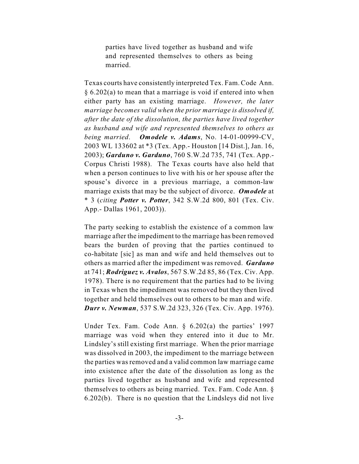parties have lived together as husband and wife and represented themselves to others as being married.

Texas courts have consistently interpreted Tex. Fam.Code Ann. § 6.202(a) to mean that a marriage is void if entered into when either party has an existing marriage. *However, the later marriage becomes valid when the prior marriage is dissolved if, after the date of the dissolution, the parties have lived together as husband and wife and represented themselves to others as being married*. *Omodele v. Adams*, No. 14-01-00999-CV, 2003 WL 133602 at \*3 (Tex. App.- Houston [14 Dist.], Jan. 16, 2003); *Garduno v. Garduno*, 760 S.W.2d 735, 741 (Tex. App.- Corpus Christi 1988). The Texas courts have also held that when a person continues to live with his or her spouse after the spouse's divorce in a previous marriage, a common-law marriage exists that may be the subject of divorce. *Omodele* at \* 3 (*citing Potter v. Potter*, 342 S.W.2d 800, 801 (Tex. Civ. App.- Dallas 1961, 2003)).

The party seeking to establish the existence of a common law marriage after the impediment to the marriage has been removed bears the burden of proving that the parties continued to co-habitate [sic] as man and wife and held themselves out to others as married after the impediment was removed. *Garduno* at 741; *Rodriguez v. Avalos*, 567 S.W.2d 85, 86 (Tex. Civ. App. 1978). There is no requirement that the parties had to be living in Texas when the impediment was removed but they then lived together and held themselves out to others to be man and wife. *Durr v. Newman*, 537 S.W.2d 323, 326 (Tex. Civ. App. 1976).

Under Tex. Fam. Code Ann. § 6.202(a) the parties' 1997 marriage was void when they entered into it due to Mr. Lindsley's still existing first marriage. When the prior marriage was dissolved in 2003, the impediment to the marriage between the parties was removed and a valid common law marriage came into existence after the date of the dissolution as long as the parties lived together as husband and wife and represented themselves to others as being married. Tex. Fam. Code Ann. § 6.202(b). There is no question that the Lindsleys did not live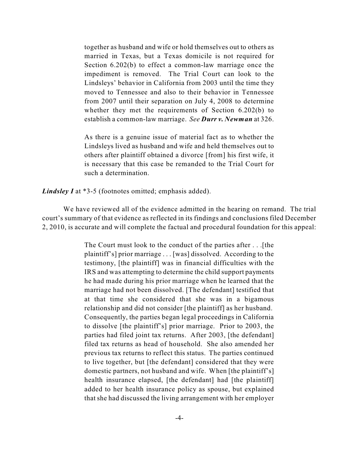together as husband and wife or hold themselves out to others as married in Texas, but a Texas domicile is not required for Section 6.202(b) to effect a common-law marriage once the impediment is removed. The Trial Court can look to the Lindsleys' behavior in California from 2003 until the time they moved to Tennessee and also to their behavior in Tennessee from 2007 until their separation on July 4, 2008 to determine whether they met the requirements of Section 6.202(b) to establish a common-law marriage. *See Durr v. Newman* at 326.

As there is a genuine issue of material fact as to whether the Lindsleys lived as husband and wife and held themselves out to others after plaintiff obtained a divorce [from] his first wife, it is necessary that this case be remanded to the Trial Court for such a determination.

*Lindsley I* at \*3-5 (footnotes omitted; emphasis added).

We have reviewed all of the evidence admitted in the hearing on remand. The trial court's summary of that evidence as reflected in its findings and conclusions filed December 2, 2010, is accurate and will complete the factual and procedural foundation for this appeal:

> The Court must look to the conduct of the parties after . . .[the plaintiff's] prior marriage . . . [was] dissolved. According to the testimony, [the plaintiff] was in financial difficulties with the IRS and was attempting to determine the child support payments he had made during his prior marriage when he learned that the marriage had not been dissolved. [The defendant] testified that at that time she considered that she was in a bigamous relationship and did not consider [the plaintiff] as her husband. Consequently, the parties began legal proceedings in California to dissolve [the plaintiff's] prior marriage. Prior to 2003, the parties had filed joint tax returns. After 2003, [the defendant] filed tax returns as head of household. She also amended her previous tax returns to reflect this status. The parties continued to live together, but [the defendant] considered that they were domestic partners, not husband and wife. When [the plaintiff's] health insurance elapsed, [the defendant] had [the plaintiff] added to her health insurance policy as spouse, but explained that she had discussed the living arrangement with her employer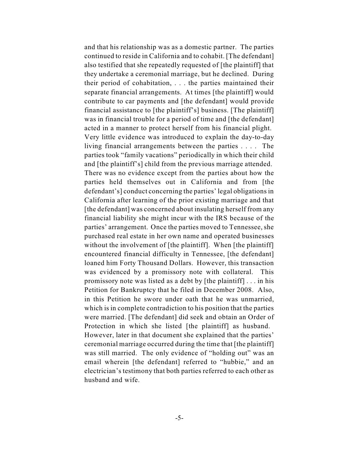and that his relationship was as a domestic partner. The parties continued to reside in California and to cohabit. [The defendant] also testified that she repeatedly requested of [the plaintiff] that they undertake a ceremonial marriage, but he declined. During their period of cohabitation, . . . the parties maintained their separate financial arrangements. At times [the plaintiff] would contribute to car payments and [the defendant] would provide financial assistance to [the plaintiff's] business. [The plaintiff] was in financial trouble for a period of time and [the defendant] acted in a manner to protect herself from his financial plight. Very little evidence was introduced to explain the day-to-day living financial arrangements between the parties . . . . The parties took "family vacations" periodically in which their child and [the plaintiff's] child from the previous marriage attended. There was no evidence except from the parties about how the parties held themselves out in California and from [the defendant's] conduct concerning the parties' legal obligationsin California after learning of the prior existing marriage and that [the defendant] was concerned about insulating herself from any financial liability she might incur with the IRS because of the parties' arrangement. Once the parties moved to Tennessee, she purchased real estate in her own name and operated businesses without the involvement of [the plaintiff]. When [the plaintiff] encountered financial difficulty in Tennessee, [the defendant] loaned him Forty Thousand Dollars. However, this transaction was evidenced by a promissory note with collateral. This promissory note was listed as a debt by [the plaintiff] . . . in his Petition for Bankruptcy that he filed in December 2008. Also, in this Petition he swore under oath that he was unmarried, which is in complete contradiction to his position that the parties were married. [The defendant] did seek and obtain an Order of Protection in which she listed [the plaintiff] as husband. However, later in that document she explained that the parties' ceremonial marriage occurred during the time that [the plaintiff] was still married. The only evidence of "holding out" was an email wherein [the defendant] referred to "hubbie," and an electrician's testimony that both parties referred to each other as husband and wife.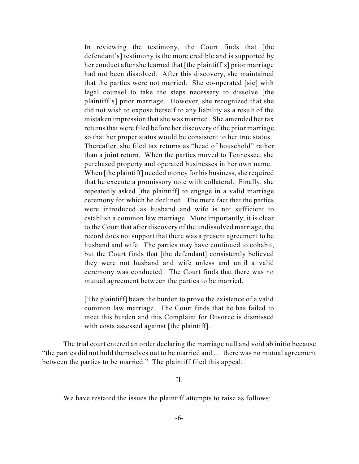In reviewing the testimony, the Court finds that [the defendant's] testimony is the more credible and is supported by her conduct after she learned that [the plaintiff's] prior marriage had not been dissolved. After this discovery, she maintained that the parties were not married. She co-operated [sic] with legal counsel to take the steps necessary to dissolve [the plaintiff's] prior marriage. However, she recognized that she did not wish to expose herself to any liability as a result of the mistaken impression that she was married. She amended her tax returns that were filed before her discovery of the prior marriage so that her proper status would be consistent to her true status. Thereafter, she filed tax returns as "head of household" rather than a joint return. When the parties moved to Tennessee, she purchased property and operated businesses in her own name. When [the plaintiff] needed money for his business, she required that he execute a promissory note with collateral. Finally, she repeatedly asked [the plaintiff] to engage in a valid marriage ceremony for which he declined. The mere fact that the parties were introduced as husband and wife is not sufficient to establish a common law marriage. More importantly, it is clear to the Court that after discovery of the undissolved marriage, the record does not support that there was a present agreement to be husband and wife. The parties may have continued to cohabit, but the Court finds that [the defendant] consistently believed they were not husband and wife unless and until a valid ceremony was conducted. The Court finds that there was no mutual agreement between the parties to be married.

[The plaintiff] bears the burden to prove the existence of a valid common law marriage. The Court finds that he has failed to meet this burden and this Complaint for Divorce is dismissed with costs assessed against [the plaintiff].

The trial court entered an order declaring the marriage null and void ab initio because "the parties did not hold themselves out to be married and . . . there was no mutual agreement between the parties to be married." The plaintiff filed this appeal.

II.

We have restated the issues the plaintiff attempts to raise as follows: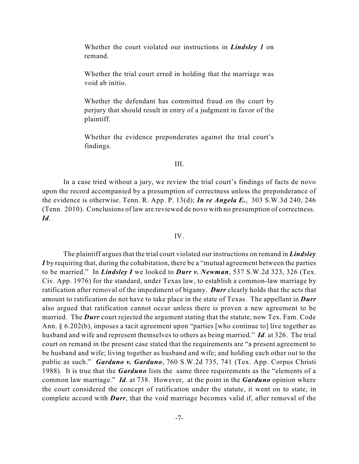Whether the court violated our instructions in *Lindsley 1* on remand.

Whether the trial court erred in holding that the marriage was void ab initio.

Whether the defendant has committed fraud on the court by perjury that should result in entry of a judgment in favor of the plaintiff.

Whether the evidence preponderates against the trial court's findings.

# III.

In a case tried without a jury, we review the trial court's findings of facts de novo upon the record accompanied by a presumption of correctness unless the preponderance of the evidence is otherwise. Tenn. R. App. P. 13(d); *In re Angela E.*, 303 S.W.3d 240, 246 (Tenn. 2010). Conclusions of law are reviewed de novo with no presumption of correctness. *Id*.

## IV.

The plaintiff argues that the trial court violated our instructions on remand in *Lindsley I* by requiring that, during the cohabitation, there be a "mutual agreement between the parties" to be married." In *Lindsley I* we looked to *Durr v. Newman*, 537 S.W.2d 323, 326 (Tex. Civ. App. 1976) for the standard, under Texas law, to establish a common-law marriage by ratification after removal of the impediment of bigamy. *Durr* clearly holds that the acts that amount to ratification do not have to take place in the state of Texas. The appellant in *Durr* also argued that ratification cannot occur unless there is proven a new agreement to be married. The *Durr* court rejected the argument stating that the statute, now Tex. Fam. Code Ann. § 6.202(b), imposes a tacit agreement upon "parties [who continue to] live together as husband and wife and represent themselves to others as being married." *Id*. at 326. The trial court on remand in the present case stated that the requirements are "a present agreement to be husband and wife; living together as husband and wife; and holding each other out to the public as such." *Garduno v. Garduno*, 760 S.W.2d 735, 741 (Tex. App. Corpus Christi 1988). It is true that the *Garduno* lists the same three requirements as the "elements of a common law marriage." *Id*. at 738. However, at the point in the *Garduno* opinion where the court considered the concept of ratification under the statute, it went on to state, in complete accord with *Durr*, that the void marriage becomes valid if, after removal of the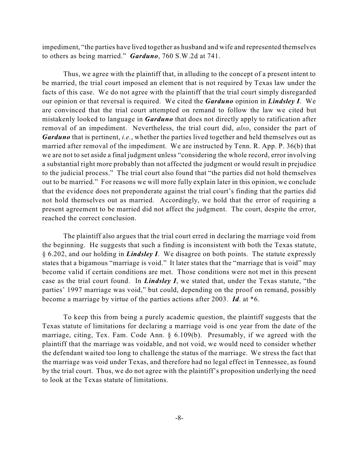impediment, "the parties have lived together as husband and wife and represented themselves to others as being married." *Garduno*, 760 S.W.2d at 741.

Thus, we agree with the plaintiff that, in alluding to the concept of a present intent to be married, the trial court imposed an element that is not required by Texas law under the facts of this case. We do not agree with the plaintiff that the trial court simply disregarded our opinion or that reversal is required. We cited the *Garduno* opinion in *Lindsley I*. We are convinced that the trial court attempted on remand to follow the law we cited but mistakenly looked to language in *Garduno* that does not directly apply to ratification after removal of an impediment. Nevertheless, the trial court did, *also*, consider the part of *Garduno* that is pertinent, *i.e.*, whether the parties lived together and held themselves out as married after removal of the impediment. We are instructed by Tenn. R. App. P. 36(b) that we are not to set aside a final judgment unless "considering the whole record, error involving a substantial right more probably than not affected the judgment or would result in prejudice to the judicial process." The trial court also found that "the parties did not hold themselves out to be married." For reasons we will more fully explain later in this opinion, we conclude that the evidence does not preponderate against the trial court's finding that the parties did not hold themselves out as married. Accordingly, we hold that the error of requiring a present agreement to be married did not affect the judgment. The court, despite the error, reached the correct conclusion.

The plaintiff also argues that the trial court erred in declaring the marriage void from the beginning. He suggests that such a finding is inconsistent with both the Texas statute, § 6.202, and our holding in *Lindsley I*. We disagree on both points. The statute expressly states that a bigamous "marriage is void." It later states that the "marriage that is void" may become valid if certain conditions are met. Those conditions were not met in this present case as the trial court found. In *Lindsley I*, we stated that, under the Texas statute, "the parties' 1997 marriage was void," but could, depending on the proof on remand, possibly become a marriage by virtue of the parties actions after 2003. *Id*. at \*6.

To keep this from being a purely academic question, the plaintiff suggests that the Texas statute of limitations for declaring a marriage void is one year from the date of the marriage, citing, Tex. Fam. Code Ann. § 6.109(b). Presumably, if we agreed with the plaintiff that the marriage was voidable, and not void, we would need to consider whether the defendant waited too long to challenge the status of the marriage. We stress the fact that the marriage was void under Texas, and therefore had no legal effect in Tennessee, as found by the trial court. Thus, we do not agree with the plaintiff's proposition underlying the need to look at the Texas statute of limitations.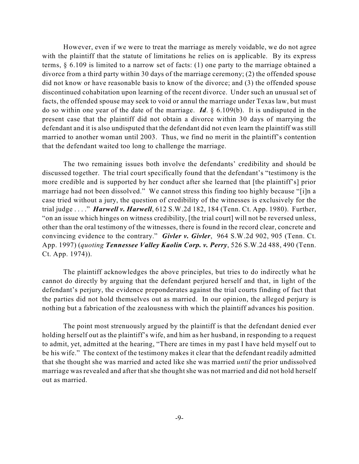However, even if we were to treat the marriage as merely voidable, we do not agree with the plaintiff that the statute of limitations he relies on is applicable. By its express terms, § 6.109 is limited to a narrow set of facts: (1) one party to the marriage obtained a divorce from a third party within 30 days of the marriage ceremony; (2) the offended spouse did not know or have reasonable basis to know of the divorce; and (3) the offended spouse discontinued cohabitation upon learning of the recent divorce. Under such an unusual set of facts, the offended spouse may seek to void or annul the marriage under Texas law, but must do so within one year of the date of the marriage. *Id*. § 6.109(b). It is undisputed in the present case that the plaintiff did not obtain a divorce within 30 days of marrying the defendant and it is also undisputed that the defendant did not even learn the plaintiff was still married to another woman until 2003. Thus, we find no merit in the plaintiff's contention that the defendant waited too long to challenge the marriage.

The two remaining issues both involve the defendants' credibility and should be discussed together. The trial court specifically found that the defendant's "testimony is the more credible and is supported by her conduct after she learned that [the plaintiff's] prior marriage had not been dissolved." We cannot stress this finding too highly because "[i]n a case tried without a jury, the question of credibility of the witnesses is exclusively for the trial judge . . . ." *Harwell v. Harwell*, 612 S.W.2d 182, 184 (Tenn. Ct. App. 1980). Further, "on an issue which hinges on witness credibility, [the trial court] will not be reversed unless, other than the oral testimony of the witnesses, there is found in the record clear, concrete and convincing evidence to the contrary." *Givler v. Givler*, 964 S.W.2d 902, 905 (Tenn. Ct. App. 1997) (*quoting Tennessee Valley Kaolin Corp. v. Perry*, 526 S.W.2d 488, 490 (Tenn. Ct. App. 1974)).

The plaintiff acknowledges the above principles, but tries to do indirectly what he cannot do directly by arguing that the defendant perjured herself and that, in light of the defendant's perjury, the evidence preponderates against the trial courts finding of fact that the parties did not hold themselves out as married. In our opinion, the alleged perjury is nothing but a fabrication of the zealousness with which the plaintiff advances his position.

The point most strenuously argued by the plaintiff is that the defendant denied ever holding herself out as the plaintiff's wife, and him as her husband, in responding to a request to admit, yet, admitted at the hearing, "There are times in my past I have held myself out to be his wife." The context of the testimony makes it clear that the defendant readily admitted that she thought she was married and acted like she was married *until* the prior undissolved marriage was revealed and after that she thought she was not married and did not hold herself out as married.